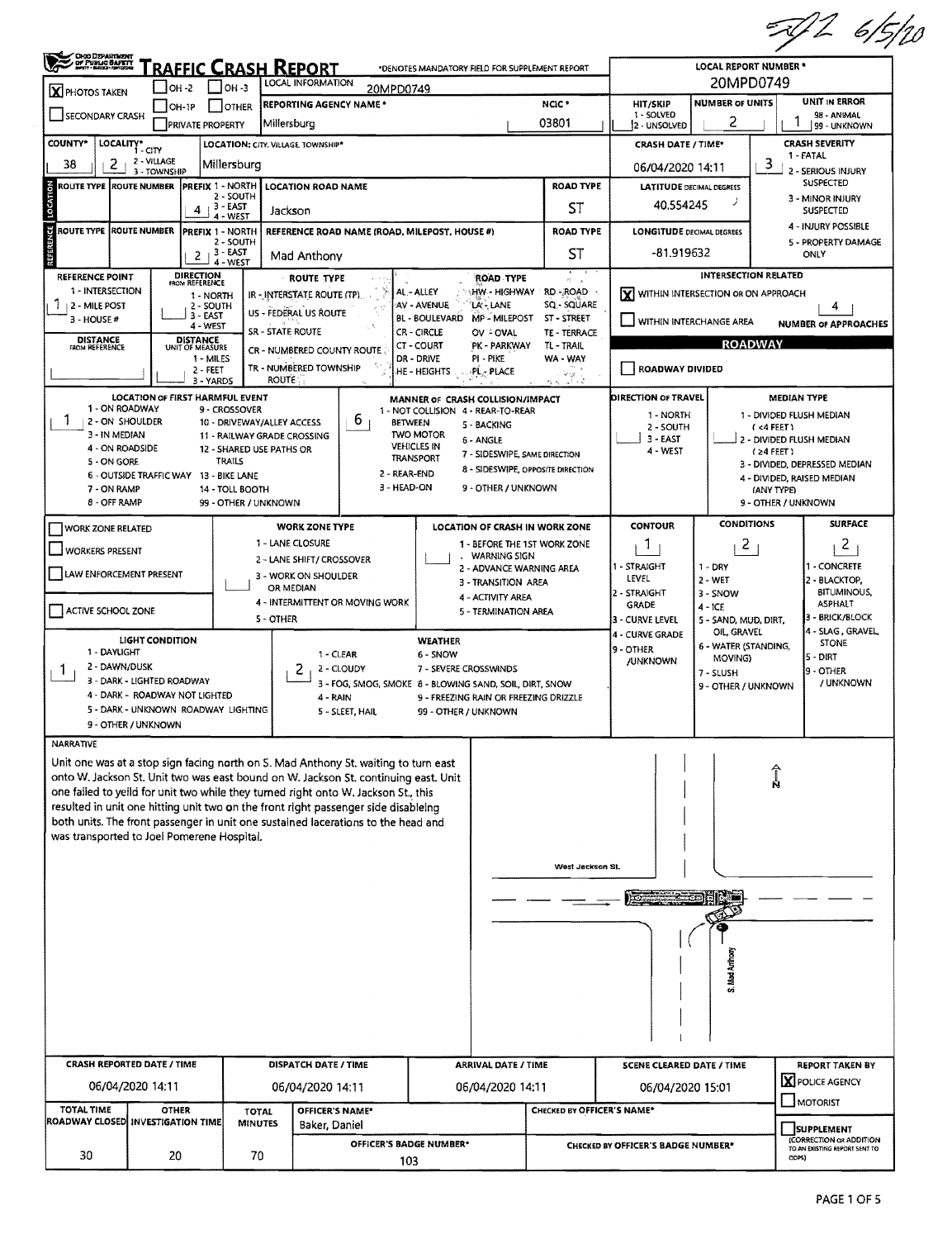| OROD DEPARTMENT                                 |                                | RAFFIC CRASH REPORT                                       | *DENOTES MANDATORY FIELD FOR SUPPLEMENT REPORT | <b>LOCAL REPORT NUMBER *</b>                                                                                                                                               |                                                      |                                          |                                       |                                                               |                                        |                                    |                                                     |  |  |
|-------------------------------------------------|--------------------------------|-----------------------------------------------------------|------------------------------------------------|----------------------------------------------------------------------------------------------------------------------------------------------------------------------------|------------------------------------------------------|------------------------------------------|---------------------------------------|---------------------------------------------------------------|----------------------------------------|------------------------------------|-----------------------------------------------------|--|--|
| X PHOTOS TAKEN                                  | $IOH - 2$                      | $1$ OH -3                                                 |                                                | LOCAL INFORMATION<br>20MPD0749                                                                                                                                             |                                                      |                                          |                                       | 20MPD0749<br><b>NUMBER OF UNITS</b>                           |                                        |                                    |                                                     |  |  |
| SECONDARY CRASH                                 | $IOH-1P$                       | JOTHER                                                    |                                                | <b>REPORTING AGENCY NAME *</b>                                                                                                                                             |                                                      |                                          | NCIC <sup>*</sup>                     | <b>HIT/SKIP</b><br>1 - SOLVED                                 | 2                                      |                                    | UNIT IN ERROR<br>98 - ANIMAL                        |  |  |
| <b>COUNTY*</b>                                  |                                | <b>PRIVATE PROPERTY</b>                                   | Millersburg                                    | <b>LOCATION: CITY, VILLAGE, TOWNSHIP*</b>                                                                                                                                  |                                                      |                                          | 03801                                 | 2 - UNSOLVED<br><b>CRASH DATE / TIME*</b>                     |                                        |                                    | 99 - UNKNOWN<br><b>CRASH SEVERITY</b>               |  |  |
| LOCALITY* CITY<br>2<br>38                       | 2 - VILLAGE                    | Millersburg                                               |                                                |                                                                                                                                                                            |                                                      |                                          |                                       |                                                               |                                        | 3                                  | 1 - FATAL                                           |  |  |
| ROUTE TYPE IROUTE NUMBER                        | 3 - TOWNSHIP                   | PREFIX 1 - NORTH                                          |                                                | <b>LOCATION ROAD NAME</b>                                                                                                                                                  |                                                      |                                          | <b>ROAD TYPE</b>                      | 06/04/2020 14:11<br><b>LATITUDE DECIMAL DEGREES</b>           | 2 - SERIOUS INJURY<br><b>SUSPECTED</b> |                                    |                                                     |  |  |
|                                                 |                                | 2 - SOUTH<br>$4+3 - EAST$                                 |                                                | Jackson                                                                                                                                                                    |                                                      |                                          | ST                                    | 40.554245                                                     | 3 - MINOR INJURY<br><b>SUSPECTED</b>   |                                    |                                                     |  |  |
| <b>ROUTE TYPE ROUTE NUMBER</b>                  |                                | 4 - WEST<br><b>PREFIX 1 - NORTH</b>                       |                                                | REFERENCE ROAD NAME (ROAD, MILEPOST, HOUSE #)                                                                                                                              |                                                      |                                          | <b>ROAD TYPE</b>                      | <b>LONGITUDE DECIMAL DEGREES</b>                              |                                        |                                    | 4 - INJURY POSSIBLE                                 |  |  |
|                                                 |                                | 2 - SOUTH<br>$2 + 3 - EAST$<br>4 - WEST                   |                                                | Mad Anthony                                                                                                                                                                |                                                      |                                          | ST                                    | -81.919632                                                    |                                        |                                    | 5 - PROPERTY DAMAGE<br><b>ONLY</b>                  |  |  |
| REFERENCE POINT                                 |                                | <b>DIRECTION</b><br>FROM REFERENCE                        |                                                | ROUTE TYPE                                                                                                                                                                 |                                                      | ROAD TYPE                                | 作 - 6                                 |                                                               | <b>INTERSECTION RELATED</b>            |                                    |                                                     |  |  |
| 1 - INTERSECTION<br>1<br>12 - MILE POST         |                                | 1 - NORTH<br>2 - SOUTH                                    |                                                | IR - INTERSTATE ROUTE (TP)                                                                                                                                                 | AL - ALLEY<br>AV - AVENUE                            | hw - Highway<br>LA-LANE                  | <b>RD-ROAD</b><br>SQ - SQUARE         | X WITHIN INTERSECTION OR ON APPROACH                          |                                        |                                    | 4                                                   |  |  |
| 3 - HOUSE #                                     |                                | 3 - EAST<br>4 - WEST                                      |                                                | US - FEDERAL US ROUTE                                                                                                                                                      | BL - BOULEVARD                                       | MP - MILEPOST                            | ST - STREET                           | WITHIN INTERCHANGE AREA                                       |                                        |                                    | <b>NUMBER OF APPROACHES</b>                         |  |  |
| <b>DISTANCE</b><br><b>FROM REFERENCE</b>        |                                | <b>DISTANCE</b><br>UNIT OF MEASURE                        | <b>SR - STATE ROUTE</b>                        | CR - NUMBERED COUNTY ROUTE                                                                                                                                                 | <b>CR-CIRCLE</b><br>CT - COURT                       | OV - OVAL<br>PK - PARKWAY                | TE - TERRACE<br>TL - TRAIL            |                                                               |                                        | <b>ROADWAY</b>                     |                                                     |  |  |
|                                                 |                                | 1 - MILES<br>2 - FEET<br>3 - YARDS                        | <b>ROUTE</b>                                   | TR - NUMBERED TOWNSHIP                                                                                                                                                     | DR - DRIVE<br>HE - HEIGHTS                           | PI - PIKE<br>PL - PLACE                  | WA - WAY<br>V 3<br>ی تہ               | ROADWAY DIVIDED                                               |                                        |                                    |                                                     |  |  |
|                                                 |                                | LOCATION OF FIRST HARMFUL EVENT                           |                                                |                                                                                                                                                                            | MANNER OF CRASH COLLISION/IMPACT                     |                                          |                                       | DIRECTION OF TRAVEL                                           |                                        |                                    | <b>MEDIAN TYPE</b>                                  |  |  |
| 1 - ON ROADWAY<br>L<br>2 - ON SHOULDER          |                                | 9 - CROSSOVER<br>10 - DRIVEWAY/ALLEY ACCESS               |                                                | 6                                                                                                                                                                          | 1 - NOT COLLISION 4 - REAR-TO-REAR<br><b>BETWEEN</b> | 5 - BACKING                              |                                       | 1 - NORTH<br>2 - SOUTH                                        |                                        | (4 FEET)                           | 1 - DIVIDED FLUSH MEDIAN                            |  |  |
| 3 - IN MEDIAN<br>4 - ON ROADSIDE                |                                | 11 - RAILWAY GRADE CROSSING                               |                                                |                                                                                                                                                                            | <b>TWO MOTOR</b><br><b>VEHICLES IN</b>               | 6 - ANGLE                                |                                       | $3 - EAST$                                                    |                                        | $(24$ FEET)                        | 2 - DIVIDED FLUSH MEDIAN                            |  |  |
| 5 - ON GORE                                     |                                | 12 - SHARED USE PATHS OR<br>TRAILS                        |                                                |                                                                                                                                                                            | <b>TRANSPORT</b>                                     | 7 - SIDESWIPE, SAME DIRECTION            | 8 - SIDESWIPE, OPPOSITE DIRECTION     | 4 - WEST                                                      | 3 - DIVIDED, DEPRESSED MEDIAN          |                                    |                                                     |  |  |
| 7 - ON RAMP                                     |                                | 6 - OUTSIDE TRAFFIC WAY 13 - BIKE LANE<br>14 - TOLL BOOTH |                                                | 2 - REAR-END<br>3 - HEAD-ON                                                                                                                                                |                                                      | 9 - OTHER / UNKNOWN                      |                                       |                                                               |                                        | <b>IANY TYPE)</b>                  | 4 - DIVIDED, RAISED MEDIAN                          |  |  |
| 8 - OFF RAMP                                    |                                | 99 - OTHER / UNKNOWN                                      |                                                |                                                                                                                                                                            |                                                      |                                          |                                       |                                                               |                                        | 9 - OTHER / UNKNOWN                |                                                     |  |  |
| <b>WORK ZONE RELATED</b>                        |                                |                                                           |                                                | <b>WORK ZONE TYPE</b>                                                                                                                                                      |                                                      |                                          | <b>LOCATION OF CRASH IN WORK ZONE</b> | CONTOUR                                                       | <b>CONDITIONS</b>                      |                                    | <b>SURFACE</b>                                      |  |  |
| WORKERS PRESENT                                 |                                |                                                           |                                                | 1 - LANE CLOSURE                                                                                                                                                           |                                                      | <b>WARNING SIGN</b>                      | 1 - BEFORE THE 1ST WORK ZONE          | 1                                                             | $\mathbf{2}$                           |                                    | $\mathbf{2}$                                        |  |  |
| LAW ENFORCEMENT PRESENT                         |                                |                                                           |                                                | 2 - LANE SHIFT/ CROSSOVER<br>3 - WORK ON SHOULDER                                                                                                                          |                                                      | 2 - ADVANCE WARNING AREA                 |                                       | 1 - STRAIGHT<br>LEVEL                                         | $1 - DRY$<br>$2 - WET$                 |                                    | - CONCRETE<br>2 - BLACKTOP,                         |  |  |
|                                                 |                                |                                                           |                                                | OR MEDIAN<br>4 - INTERMITTENT OR MOVING WORK                                                                                                                               |                                                      | 3 - TRANSITION AREA<br>4 - ACTIVITY AREA |                                       | 2 - STRAIGHT                                                  | 3 - SNOW                               |                                    | <b>BITUMINOUS,</b>                                  |  |  |
| ACTIVE SCHOOL ZONE                              |                                |                                                           | 5 - OTHER                                      |                                                                                                                                                                            |                                                      | 5 - TERMINATION AREA                     |                                       | <b>GRADE</b><br>3 - CURVE LEVEL                               | $4 - ICE$<br>5 - SAND, MUD, DIRT,      |                                    | ASPHALT<br>3 - BRICK/BLOCK                          |  |  |
|                                                 | <b>LIGHT CONDITION</b>         |                                                           |                                                |                                                                                                                                                                            | <b>WEATHER</b>                                       |                                          |                                       | <b>4 - CURVE GRADE</b>                                        | OIL, GRAVEL<br>6 - WATER (STANDING,    |                                    | 4 - SLAG, GRAVEL<br><b>STONE</b>                    |  |  |
| 1 - DAYLIGHT<br>2 - DAWN/DUSK                   |                                |                                                           |                                                | 1 - CLEAR<br>2<br>2 - CLOUDY                                                                                                                                               | 6 - SNOW<br>7 - SEVERE CROSSWINDS                    |                                          |                                       | 9 - OTHER<br>/UNKNOWN                                         | MOVING)                                |                                    | $5 - DIRT$                                          |  |  |
| 1                                               | 3 - DARK - LIGHTED ROADWAY     |                                                           |                                                | 3 - FOG, SMOG, SMOKE 8 - BLOWING SAND, SOIL, DIRT, SNOW                                                                                                                    |                                                      |                                          |                                       |                                                               | 7 - SLUSH<br>9 - OTHER / UNKNOWN       |                                    | <b>9 - OTHER</b><br>/ UNKNOWN                       |  |  |
|                                                 | 4 - DARK - ROADWAY NOT LIGHTED | 5 - DARK - UNKNOWN ROADWAY LIGHTING                       |                                                | 4 - RAIN<br>5 - SLEET, HAIL                                                                                                                                                | 99 - OTHER / UNKNOWN                                 | 9 - FREEZING RAIN OR FREEZING DRIZZLE    |                                       |                                                               |                                        |                                    |                                                     |  |  |
| 9 - OTHER / UNKNOWN                             |                                |                                                           |                                                |                                                                                                                                                                            |                                                      |                                          |                                       |                                                               |                                        |                                    |                                                     |  |  |
| <b>NARRATIVE</b>                                |                                |                                                           |                                                |                                                                                                                                                                            |                                                      |                                          |                                       |                                                               |                                        |                                    |                                                     |  |  |
|                                                 |                                |                                                           |                                                | Unit one was at a stop sign facing north on S. Mad Anthony St. waiting to turn east<br>onto W. Jackson St. Unit two was east bound on W. Jackson St. continuing east. Unit |                                                      |                                          |                                       |                                                               |                                        |                                    |                                                     |  |  |
|                                                 |                                |                                                           |                                                | one failed to yelld for unit two while they turned right onto W. Jackson St., this                                                                                         |                                                      |                                          |                                       |                                                               |                                        |                                    |                                                     |  |  |
|                                                 |                                |                                                           |                                                | resulted in unit one hitting unit two on the front right passenger side disableing<br>both units. The front passenger in unit one sustained lacerations to the head and    |                                                      |                                          |                                       |                                                               |                                        |                                    |                                                     |  |  |
| was transported to Joel Pomerene Hospital.      |                                |                                                           |                                                |                                                                                                                                                                            |                                                      |                                          |                                       |                                                               |                                        |                                    |                                                     |  |  |
|                                                 |                                |                                                           |                                                |                                                                                                                                                                            |                                                      |                                          | West Jackson St.                      |                                                               |                                        |                                    |                                                     |  |  |
|                                                 |                                |                                                           |                                                |                                                                                                                                                                            |                                                      |                                          |                                       |                                                               |                                        |                                    |                                                     |  |  |
|                                                 |                                |                                                           |                                                |                                                                                                                                                                            |                                                      |                                          |                                       | $\frac{1}{2}$ , $\frac{1}{2}$ , $\frac{2}{2}$ , $\frac{1}{2}$ |                                        |                                    |                                                     |  |  |
|                                                 |                                |                                                           |                                                |                                                                                                                                                                            |                                                      |                                          |                                       |                                                               |                                        |                                    |                                                     |  |  |
|                                                 |                                |                                                           |                                                |                                                                                                                                                                            |                                                      |                                          |                                       |                                                               |                                        |                                    |                                                     |  |  |
|                                                 |                                |                                                           |                                                |                                                                                                                                                                            |                                                      |                                          |                                       |                                                               | Mad Anthon                             |                                    |                                                     |  |  |
|                                                 |                                |                                                           |                                                |                                                                                                                                                                            |                                                      |                                          |                                       |                                                               |                                        |                                    |                                                     |  |  |
|                                                 |                                |                                                           |                                                |                                                                                                                                                                            |                                                      |                                          |                                       |                                                               |                                        |                                    |                                                     |  |  |
|                                                 |                                |                                                           |                                                |                                                                                                                                                                            |                                                      |                                          |                                       |                                                               |                                        |                                    |                                                     |  |  |
| <b>CRASH REPORTED DATE / TIME</b>               |                                |                                                           |                                                | <b>DISPATCH DATE / TIME</b>                                                                                                                                                |                                                      | <b>ARRIVAL DATE / TIME</b>               |                                       | <b>SCENE CLEARED DATE / TIME</b>                              |                                        |                                    | <b>REPORT TAKEN BY</b>                              |  |  |
| 06/04/2020 14:11                                |                                |                                                           |                                                | 06/04/2020 14:11                                                                                                                                                           |                                                      | 06/04/2020 14:11                         |                                       | 06/04/2020 15:01                                              |                                        | <b>X</b> POLICE AGENCY<br>MOTORIST |                                                     |  |  |
| TOTAL TIME<br>ROADWAY CLOSED INVESTIGATION TIME | <b>OTHER</b>                   |                                                           | TOTAL<br><b>MINUTES</b>                        | OFFICER'S NAME*<br>Baker, Daniel                                                                                                                                           |                                                      |                                          | CHECKED BY OFFICER'S NAME*            |                                                               |                                        |                                    |                                                     |  |  |
|                                                 |                                |                                                           |                                                | OFFICER'S BADGE NUMBER*                                                                                                                                                    |                                                      |                                          |                                       |                                                               |                                        |                                    | <b>SUPPLEMENT</b><br><b>(CORRECTION OR ADDITION</b> |  |  |
| 30                                              | 20                             |                                                           | 70                                             | 103                                                                                                                                                                        |                                                      |                                          |                                       | CHECKED BY OFFICER'S BADGE NUMBER*                            | TO AN EXISTING REPORT SENT TO<br>ODPS) |                                    |                                                     |  |  |
|                                                 |                                |                                                           |                                                |                                                                                                                                                                            |                                                      |                                          |                                       |                                                               |                                        |                                    |                                                     |  |  |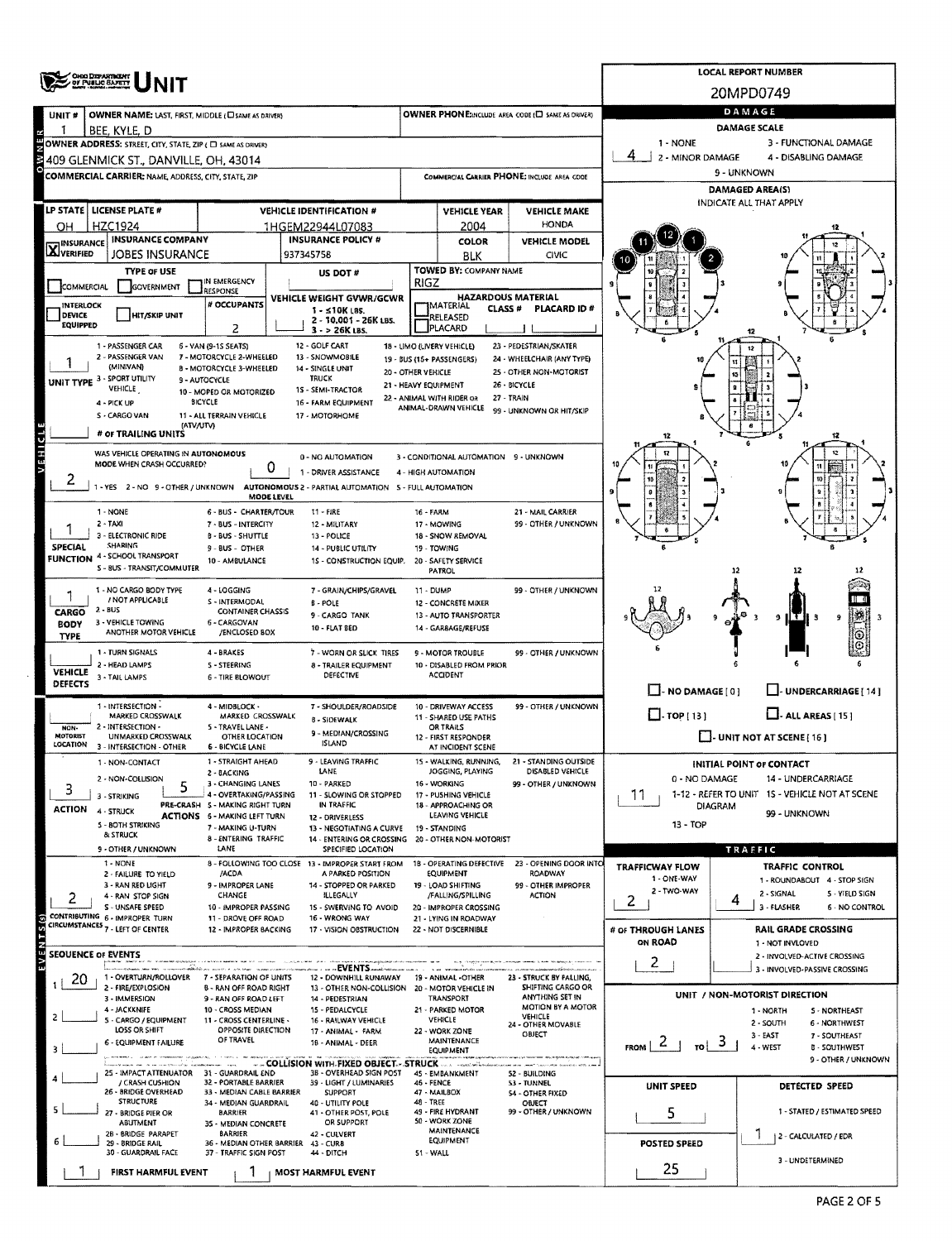|                            | ONG DEPARTMENT                                                                                                                                                                                                                   |                                                                        | <b>LOCAL REPORT NUMBER</b>                                              |                      |                                                                     |                                             |                                                                                             |                                                                    |  |  |  |  |  |
|----------------------------|----------------------------------------------------------------------------------------------------------------------------------------------------------------------------------------------------------------------------------|------------------------------------------------------------------------|-------------------------------------------------------------------------|----------------------|---------------------------------------------------------------------|---------------------------------------------|---------------------------------------------------------------------------------------------|--------------------------------------------------------------------|--|--|--|--|--|
|                            | OF PUBLIC SAFETY                                                                                                                                                                                                                 |                                                                        |                                                                         |                      |                                                                     |                                             | 20MPD0749                                                                                   |                                                                    |  |  |  |  |  |
| UNIT#                      | OWNER NAME: LAST, FIRST, MIDDLE (C) SAME AS DRIVER)                                                                                                                                                                              |                                                                        | OWNER PHONE:INCLUDE AREA CODE (E) SAME AS DRIVER)                       |                      | DAMAGE                                                              |                                             |                                                                                             |                                                                    |  |  |  |  |  |
|                            | bee, kyle, d                                                                                                                                                                                                                     |                                                                        |                                                                         |                      |                                                                     |                                             |                                                                                             | <b>DAMAGE SCALE</b>                                                |  |  |  |  |  |
|                            | OWNER ADDRESS: STREET, CITY, STATE, ZIP ( C) SAME AS ORIVER)                                                                                                                                                                     |                                                                        |                                                                         |                      |                                                                     |                                             | 1 - NONE<br>4<br>2 - MINOR DAMAGE                                                           | 3 - FUNCTIONAL DAMAGE<br>4 - DISABLING DAMAGE                      |  |  |  |  |  |
|                            | 409 GLENMICK ST., DANVILLE, OH. 43014<br><b>COMMERCIAL CARRIER: NAME ADDRESS, CITY, STATE, ZIP</b>                                                                                                                               |                                                                        |                                                                         |                      |                                                                     | COMMERCIAL CARRIER PHONE: INCLUDE AREA COOE |                                                                                             | 9 - UNKNOWN                                                        |  |  |  |  |  |
|                            |                                                                                                                                                                                                                                  |                                                                        |                                                                         |                      |                                                                     |                                             | DAMAGED AREA(S)                                                                             |                                                                    |  |  |  |  |  |
|                            | LP STATE LICENSE PLATE #                                                                                                                                                                                                         |                                                                        | <b>VEHICLE IDENTIFICATION #</b>                                         |                      | <b>VEHICLE YEAR</b>                                                 | <b>VEHICLE MAKE</b>                         |                                                                                             | INDICATE ALL THAT APPLY                                            |  |  |  |  |  |
| ОН                         | <b>HZC1924</b>                                                                                                                                                                                                                   |                                                                        | 1HGEM22944L07083                                                        |                      | 2004                                                                | <b>HONDA</b>                                |                                                                                             |                                                                    |  |  |  |  |  |
| <b>X</b> INSURANCE         | <b>INSURANCE COMPANY</b>                                                                                                                                                                                                         |                                                                        | <b>INSURANCE POLICY #</b>                                               |                      | <b>COLOR</b>                                                        | <b>VEHICLE MODEL</b>                        |                                                                                             |                                                                    |  |  |  |  |  |
|                            | JOBES INSURANCE<br><b>TYPE OF USE</b>                                                                                                                                                                                            |                                                                        | 937345758                                                               |                      | <b>BLK</b><br>TOWED BY: COMPANY NAME                                | CIVIC                                       |                                                                                             |                                                                    |  |  |  |  |  |
| COMMERCIAL                 | <b>GOVERNMENT</b>                                                                                                                                                                                                                | IN EMERGENCY                                                           | US DOT #                                                                | <b>RIGZ</b>          |                                                                     |                                             |                                                                                             |                                                                    |  |  |  |  |  |
| <b>INTERLOCK</b>           |                                                                                                                                                                                                                                  | RESPONSE<br># OCCUPANTS                                                | VEHICLE WEIGHT GVWR/GCWR                                                |                      | <b>HAZARDOUS MATERIAL</b><br><b>IMATERIAL</b><br>CLASS <sup>#</sup> | <b>PLACARD ID #</b>                         |                                                                                             |                                                                    |  |  |  |  |  |
| DEVICE<br><b>EQUIPPED</b>  | <b>HIT/SKIP UNIT</b>                                                                                                                                                                                                             |                                                                        | $1 - 510K$ LBS.<br>2 - 10.001 - 26K LBS.                                |                      | RELEASED<br>PLACARD                                                 |                                             |                                                                                             |                                                                    |  |  |  |  |  |
|                            |                                                                                                                                                                                                                                  | 2                                                                      | 3 - > 26K LBS.<br>12 - GOLF CART                                        |                      |                                                                     |                                             |                                                                                             |                                                                    |  |  |  |  |  |
|                            | 23 - PEDESTRIAN/SKATER<br>1 - PASSENGER CAR<br>6 - VAN (9-15 SEATS)<br>18 - LIMO (LIVERY VEHICLE)<br>2 - PASSENGER VAN<br>7 - MOTORCYCLE 2-WHEELED<br>13 - SNOWMOBILE<br>24 - WHEELCHAIR (ANY TYPE)<br>19 - BUS (16+ PASSENGERS) |                                                                        |                                                                         |                      |                                                                     |                                             |                                                                                             |                                                                    |  |  |  |  |  |
|                            | (MINIVAN)<br>UNIT TYPE 3 - SPORT UTILITY                                                                                                                                                                                         | 8 - MOTORCYCLE 3-WHEELED<br>9 - AUTOCYCLE                              | 14 - SINGLE UNIT<br>TRUCK                                               | 20 - OTHER VEHICLE   |                                                                     | 25 - OTHER NON-MOTORIST<br>26 - BICYCLE     |                                                                                             |                                                                    |  |  |  |  |  |
|                            | VEHICLE<br>4 - PICK UP                                                                                                                                                                                                           | 10 - MOPED OR MOTORIZED<br><b>BICYCLE</b>                              | 1S - SEMI-TRACTOR<br>16 - FARM EQUIPMENT                                | 21 - HEAVY EQUIPMENT | 22 - ANIMAL WITH RIDER OR                                           | 27 - TRAIN                                  |                                                                                             |                                                                    |  |  |  |  |  |
|                            | S - CARGO VAN                                                                                                                                                                                                                    | 11 - ALL TERRAIN VEHICLE                                               | 17 - MOTORHOME                                                          |                      | ANIMAL-DRAWN VEHICLE                                                | 99 - UNKNOWN OR HIT/SKIP                    |                                                                                             |                                                                    |  |  |  |  |  |
|                            | (ATV/UTV)<br># OF TRAILING UNITS                                                                                                                                                                                                 |                                                                        |                                                                         |                      |                                                                     |                                             |                                                                                             |                                                                    |  |  |  |  |  |
| VEHICLE                    | WAS VEHICLE OPERATING IN AUTONOMOUS                                                                                                                                                                                              |                                                                        |                                                                         |                      |                                                                     |                                             |                                                                                             |                                                                    |  |  |  |  |  |
|                            | 0 - NO AUTOMATION<br>3 - CONDITIONAL AUTOMATION 9 - UNKNOWN<br>MODE WHEN CRASH OCCURRED?<br>0<br>1 - DRIVER ASSISTANCE<br>4 - HIGH AUTOMATION                                                                                    |                                                                        |                                                                         |                      |                                                                     |                                             |                                                                                             |                                                                    |  |  |  |  |  |
| ۷                          | 1 - YES 2 - NO 9 - OTHER / UNKNOWN AUTONOMOUS 2 - PARTIAL AUTOMATION 5 - FULL AUTOMATION                                                                                                                                         |                                                                        |                                                                         |                      |                                                                     |                                             |                                                                                             |                                                                    |  |  |  |  |  |
|                            | 1 - NONE                                                                                                                                                                                                                         | <b>MODE LEVEL</b><br>6 - BUS - CHARTER/TOUR                            | 11 - FIRE                                                               | 16 - FARM            |                                                                     | 21 - MAIL CARRIER                           |                                                                                             |                                                                    |  |  |  |  |  |
|                            | $2 - TAXI$                                                                                                                                                                                                                       | 7 - BUS - INTERCITY                                                    | 12 - MILITARY                                                           |                      | 17 - MOWING                                                         | 99 - OTHER / UNKNOWN                        |                                                                                             |                                                                    |  |  |  |  |  |
| SPECIAL                    | 3 - ELECTRONIC RIDE<br><b>SHARING</b>                                                                                                                                                                                            | <b>B - BUS - SHUTTLE</b><br>9 - BUS - OTHER                            | 13 - POLICE<br>14 - PUBLIC UTILITY                                      |                      | 18 - SNOW REMOVAL<br>19 - TOWING                                    |                                             |                                                                                             |                                                                    |  |  |  |  |  |
|                            | <b>FUNCTION 4 - SCHOOL TRANSPORT</b><br>S - BUS - TRANSIT/COMMUTER                                                                                                                                                               | 10 - AMBULANCE                                                         | 1S - CONSTRUCTION EQUIP.                                                |                      | 20 - SAFETY SERVICE                                                 |                                             |                                                                                             |                                                                    |  |  |  |  |  |
|                            |                                                                                                                                                                                                                                  |                                                                        |                                                                         |                      | PATROL                                                              |                                             |                                                                                             |                                                                    |  |  |  |  |  |
|                            | 1 - NO CARGO BODY TYPE<br>/ NOT APPLICABLE                                                                                                                                                                                       | 4 - LOGGING<br>S - INTERMODAL                                          | 7 - GRAIN/CHIPS/GRAVEL<br><b>B-POLE</b>                                 | 11 - DUMP            | 12 - CONCRETE MIXER                                                 | 99 - OTHER / UNKNOWN                        |                                                                                             |                                                                    |  |  |  |  |  |
| CARGO                      | 2 - BUS<br>3 - VEHICLE TOWING                                                                                                                                                                                                    | <b>CONTAINER CHASSIS</b><br>6 - CARGOVAN                               | 9 - CARGO TANK                                                          |                      | 13 - AUTO TRANSPORTER                                               |                                             |                                                                                             |                                                                    |  |  |  |  |  |
| <b>BODY</b><br><b>TYPE</b> | ANOTHER MOTOR VEHICLE                                                                                                                                                                                                            | /ENCLOSED BOX                                                          | 10 - FLAT BED                                                           |                      | 14 - GAR8AGE/REFUSE                                                 |                                             |                                                                                             |                                                                    |  |  |  |  |  |
|                            | <b>1 - JURN SIGNALS</b>                                                                                                                                                                                                          | 4 - BRAKES                                                             | 7 - WORN OR SLICK TIRES                                                 |                      | <b>9 - MOTOR TROUBLE</b>                                            | 99 - OTHER / UNKNOWN                        |                                                                                             |                                                                    |  |  |  |  |  |
| <b>VEHICLE</b>             | 2 - HEAD LAMPS<br>3 - TAIL LAMPS                                                                                                                                                                                                 | 5 - STEERING<br>6 - TIRE BLOWOUT                                       | 8 - TRAILER EQUIPMENT<br>DEFECTIVE                                      |                      | 10 - DISABLED FROM PRIOR<br><b>ACCIDENT</b>                         |                                             |                                                                                             |                                                                    |  |  |  |  |  |
| <b>DEFECTS</b>             |                                                                                                                                                                                                                                  |                                                                        |                                                                         |                      |                                                                     |                                             | $\Box$ - NO DAMAGE [ 0 ]                                                                    | U-UNDERCARRIAGE [14]                                               |  |  |  |  |  |
|                            | 1 - INTERSECTION -<br>MARKED CROSSWALK                                                                                                                                                                                           | 4 - MIDBLOCK -<br>MARKED CROSSWALK                                     | 7 - SHOULDER/ROADSIDE<br><b>B - SIDEWALK</b>                            |                      | 10 - DRIVEWAY ACCESS<br>11 - SHARED USE PATHS                       | 99 - OTHER / UNKNOWN                        | $\Box$ - TOP [ 13 ]<br>$LL$ - ALL AREAS [15]                                                |                                                                    |  |  |  |  |  |
| NON-<br><b>MOTORIST</b>    | 2 - INTERSECTION -<br><b>UNMARKED CROSSWALK</b>                                                                                                                                                                                  | S - TRAVEL LANE -<br>OTHER LOCATION                                    | 9 - MEDIAN/CROSSING                                                     |                      | OR TRAILS<br>12 - FIRST RESPONDER                                   |                                             |                                                                                             | $\Box$ - UNIT NOT AT SCENE [ 16 ]                                  |  |  |  |  |  |
| LOCATION                   | 3 - INTERSECTION - OTHER                                                                                                                                                                                                         | 6 - BICYCLE LANE                                                       | <b>ISLAND</b>                                                           |                      | AT INCIDENT SCENE                                                   |                                             |                                                                                             |                                                                    |  |  |  |  |  |
|                            | 1 - NON-CONTACT<br>2 - NON-COLLISION                                                                                                                                                                                             | 1 - STRAIGHT AHEAD<br>2 - BACKING                                      | 9 - LEAVING TRAFFIC<br>LANE                                             |                      | 15 - WALKING, RUNNING,<br>JOGGING, PLAYING                          | 21 - STANDING OUTSIDE<br>DISABLED VEHICLE   |                                                                                             | INITIAL POINT OF CONTACT                                           |  |  |  |  |  |
| 3                          | 3 - STRIKING                                                                                                                                                                                                                     | 3 - CHANGING LANES<br>4 - OVERTAKING/PASSING                           | 10 - PARKED<br>11 - SLOWING OR STOPPED                                  |                      | 16 - WORKING<br>17 - PUSHING VEHICLE                                | 99 - OTHER / UNKNOWN                        | 0 - NO DAMAGE<br>14 - UNDERCARRIAGE<br>1-12 - REFER TO UNIT 15 - VEHICLE NOT AT SCENE<br>11 |                                                                    |  |  |  |  |  |
| <b>ACTION</b>              | 4 - STRUCK                                                                                                                                                                                                                       | PRE-CRASH 5 - MAKING RIGHT TURN<br><b>ACTIONS 6 - MAKING LEFT TURN</b> | IN TRAFFIC                                                              |                      | 18 - APPROACHING OR<br>LEAVING VEHICLE                              |                                             | <b>DIAGRAM</b>                                                                              | 99 - UNKNOWN                                                       |  |  |  |  |  |
|                            | 5 - BOTH STRIKING                                                                                                                                                                                                                | 7 - MAKING U-TURN                                                      | 12 - DRIVERLESS<br>13 - NEGOTIATING A CURVE                             |                      | 19 - STANDING                                                       |                                             | 13 - TOP                                                                                    |                                                                    |  |  |  |  |  |
|                            | & STRUCK<br>9 - OTHER / UNKNOWN                                                                                                                                                                                                  | 8 - ENTERING TRAFFIC<br>LANE                                           | 14 - ENTERING OR CROSSING 20 - OTHER NON-MOTORIST<br>SPECIFIED LOCATION |                      |                                                                     |                                             |                                                                                             | TRAFFIC                                                            |  |  |  |  |  |
|                            | 1 - NONE                                                                                                                                                                                                                         |                                                                        | 8 - FOLLOWING TOO CLOSE 13 - IMPROPER START FROM                        |                      | 18 - OPERATING DEFECTIVE                                            | 23 - OPENING DOOR INTO                      | <b>TRAFFICWAY FLOW</b>                                                                      | <b>TRAFFIC CONTROL</b>                                             |  |  |  |  |  |
|                            | 2 - FAILURE TO YIELD<br>3 - RAN RED LIGHT                                                                                                                                                                                        | /ACDA<br>9 - IMPROPER LANE                                             | A PARKED POSITION<br>14 - STOPPED OR PARKED                             |                      | EQUIPMENT<br>19 - LOAD SHIFTING                                     | <b>ROADWAY</b><br>99 - OTHER IMPROPER       | 1 - ONE-WAY<br>2 - TWO-WAY                                                                  | 1 - ROUNDABOUT 4 - STOP SIGN                                       |  |  |  |  |  |
| 2                          | 4 - RAN STOP SIGN<br>S - UNSAFE SPEED                                                                                                                                                                                            | CHANGE<br>10 - IMPROPER PASSING                                        | ILLEGALLY<br>15 - SWERVING TO AVOID                                     |                      | /FALLING/SPILLING<br>20 - IMPROPER CROSSING                         | <b>ACTION</b>                               | 2                                                                                           | 2 - SIGNAL<br>5 - YIELD SIGN<br>4<br>3 - FLASHER<br>6 - NO CONTROL |  |  |  |  |  |
|                            | CONTRIBUTING 6 - IMPROPER TURN<br>CIRCUMSTANCES <sub>7</sub> - LEFT OF CENTER                                                                                                                                                    | 11 - DROVE OFF ROAD                                                    | 16 - WRONG WAY<br>17 - VISION OBSTRUCTION                               |                      | 21 - LYING IN ROADWAY<br>22 - NOT DISCERNIBLE                       |                                             |                                                                                             |                                                                    |  |  |  |  |  |
|                            |                                                                                                                                                                                                                                  | 12 - IMPROPER BACKING                                                  |                                                                         |                      |                                                                     |                                             | # of THROUGH LANES<br>ON ROAD                                                               | RAIL GRADE CROSSING<br>1 - NOT INVLOVED                            |  |  |  |  |  |
|                            | <b>SEOUENCE OF EVENTS</b>                                                                                                                                                                                                        |                                                                        |                                                                         |                      |                                                                     |                                             | $\mathbf{2}$                                                                                | 2 - INVOLVED-ACTIVE CROSSING                                       |  |  |  |  |  |
| 20                         | 1 - OVERTURN/ROLLOVER                                                                                                                                                                                                            | 7 - SEPARATION OF UNITS                                                | - - -- - EVENTS -----<br>12 - DOWNHILL RUNAWAY                          |                      | 19 ANIMAL OTHER                                                     | 23 - STRUCK BY FALLING,                     |                                                                                             | 3 - INVOLVED-PASSIVE CROSSING                                      |  |  |  |  |  |
|                            | 2 - FIRE/EXPLOSION<br>3 - IMMERSION                                                                                                                                                                                              | <b>8 - RAN OFF ROAD RIGHT</b><br>9 - RAN OFF ROAD LEFT                 | 13 - OTHER NON-COLLISION 20 - MOTOR VEHICLE IN<br>14 - PEDESTRIAN       |                      | <b>TRANSPORT</b>                                                    | SHIFTING CARGO OR<br>ANYTHING SET IN        |                                                                                             | UNIT / NON-MOTORIST DIRECTION                                      |  |  |  |  |  |
|                            | 4 - JACKKNIFE<br>5 - CARGO / EQUIPMENT                                                                                                                                                                                           | 10 - CROSS MEDIAN<br>11 - CROSS CENTERLINE -                           | 15 - PEDALCYCLE<br>16 - RAILWAY VEHICLE                                 |                      | 21 - PARKED MOTOR<br>VEHICLE                                        | MOTION BY A MOTOR<br><b>VEHICLE</b>         |                                                                                             | 5 - NORTHEAST<br>1 - NORTH                                         |  |  |  |  |  |
|                            | LOSS OR SHIFT                                                                                                                                                                                                                    | OPPOSITE DIRECTION<br>OF TRAVEL                                        | 17 - ANIMAL - FARM                                                      |                      | 22 - WORK ZONE                                                      | 24 - OTHER MOVABLE<br>OBJECT                |                                                                                             | 2 - SOUTH<br>6 - NORTHWEST<br>$3 - EAST$<br>7 - SOUTHEAST          |  |  |  |  |  |
| 3                          | 6 - EQUIPMENT FAILURE                                                                                                                                                                                                            |                                                                        | 18 - ANIMAL - DEER                                                      |                      | MAINTENANCE<br>EQUIPMENT                                            |                                             | $FROM$ $2$ 1<br>$\frac{1}{10}$ 3                                                            | 4 - WEST<br><b>B - SOUTHWEST</b>                                   |  |  |  |  |  |
|                            | 25 - IMPACT ATTENUATOR 31 - GUARDRAIL END                                                                                                                                                                                        |                                                                        | 3B - OVERHEAD SIGN POST                                                 |                      | 45 - EMBANKMENT                                                     | 52 - BUILDING                               |                                                                                             | 9 - OTHER / UNKNOWN                                                |  |  |  |  |  |
|                            | / CRASH CUSHION<br>26 - BRIDGE OVERHEAD                                                                                                                                                                                          | 32 - PORTABLE BARRIER<br>33 - MEDIAN CABLE BARRIER                     | 39 - LIGHT / LUMINARIES<br><b>SUPPORT</b>                               | 46 - FENCE           | 47 - MAILBOX                                                        | 53 - TUNNEL<br><b>S4 - OTHER FIXED</b>      | UNIT SPEED                                                                                  | DETECTED SPEED                                                     |  |  |  |  |  |
|                            | <b>STRUCTURE</b><br>27 - BRIDGE PIER OR                                                                                                                                                                                          | 34 - MEDIAN GUARDRAIL<br><b>BARRIER</b>                                | 40 - UTILITY POLE<br>41 - OTHER POST, POLE                              | 48 - TREE            | 49 - FIRE HYDRANT                                                   | OBJECT<br>99 - OTHER / UNKNOWN              | 5                                                                                           | 1 - STATED / ESTIMATED SPEED                                       |  |  |  |  |  |
|                            | ABUTMENT                                                                                                                                                                                                                         | 35 - MEDIAN CONCRETE                                                   | OR SUPPORT                                                              |                      | 50 - WORK ZONE<br>MAINTENANCE                                       |                                             |                                                                                             |                                                                    |  |  |  |  |  |
|                            | 2B - BRIDGE PARAPET<br>29 - BRIDGE RAIL                                                                                                                                                                                          | <b>BARRIER</b><br>36 - MEDIAN OTHER BARRIER 43 - CURB                  | 42 - CULVERT                                                            |                      | EQUIPMENT                                                           |                                             | POSTED SPEED                                                                                | 2 - CALCULATED / EDR                                               |  |  |  |  |  |
|                            | 30 - GUARDRAIL FACE                                                                                                                                                                                                              | 37 - TRAFFIC SIGN POST                                                 | 44 - DITCH                                                              | 51 - WALL            |                                                                     |                                             |                                                                                             | 3 - UNDETERMINED                                                   |  |  |  |  |  |
|                            | FIRST HARMFUL EVENT                                                                                                                                                                                                              |                                                                        | <b>MOST HARMFUL EVENT</b>                                               |                      |                                                                     |                                             | 25                                                                                          |                                                                    |  |  |  |  |  |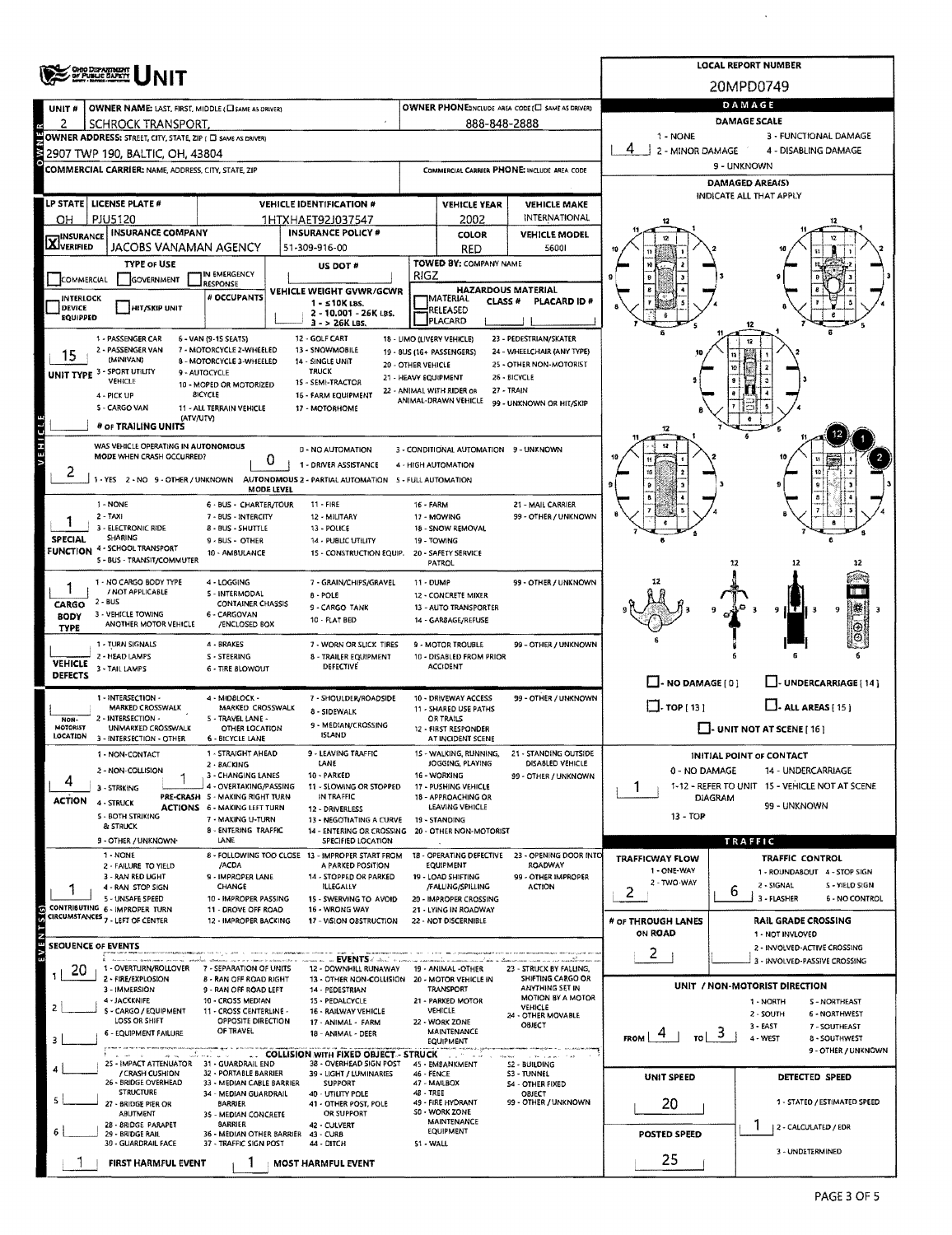|                                  | OHIO DIFANTINENT                                                   |                                                           | <b>LOCAL REPORT NUMBER</b>                                              |                                              |                                                   |                                                                  |                                               |                                                                  |                     |  |  |  |  |
|----------------------------------|--------------------------------------------------------------------|-----------------------------------------------------------|-------------------------------------------------------------------------|----------------------------------------------|---------------------------------------------------|------------------------------------------------------------------|-----------------------------------------------|------------------------------------------------------------------|---------------------|--|--|--|--|
|                                  |                                                                    |                                                           |                                                                         |                                              |                                                   |                                                                  |                                               | 20MPD0749                                                        |                     |  |  |  |  |
| UNIT#                            | OWNER NAME: LAST, FIRST, MIDDLE (CI SAME AS DRIVER)                |                                                           |                                                                         | DAMAGE                                       |                                                   |                                                                  |                                               |                                                                  |                     |  |  |  |  |
| 2                                | SCHROCK TRANSPORT,                                                 |                                                           |                                                                         |                                              | 888-848-2888                                      |                                                                  |                                               | <b>DAMAGE SCALE</b>                                              |                     |  |  |  |  |
|                                  | OWNER ADDRESS: STREET, CITY, STATE, ZIP ( C SAME AS DRIVER)        |                                                           |                                                                         |                                              |                                                   |                                                                  | 1 - NONE                                      | 3 - FUNCTIONAL DAMAGE<br>4 - DISABLING DAMAGE                    |                     |  |  |  |  |
|                                  | 2907 TWP 190, BALTIC, OH, 43804                                    |                                                           |                                                                         |                                              |                                                   | COMMERCIAL CARRIER PHONE: INCLUDE AREA CODE                      | 2 - MINOR DAMAGE<br>9 - UNKNOWN               |                                                                  |                     |  |  |  |  |
|                                  | COMMERCIAL CARRIER: NAME, ADDRESS, CITY, STATE, ZIP                |                                                           |                                                                         |                                              |                                                   |                                                                  | DAMAGED AREA(S)                               |                                                                  |                     |  |  |  |  |
|                                  | LP STATE   LICENSE PLATE #                                         |                                                           | <b>VEHICLE IDENTIFICATION #</b>                                         |                                              |                                                   | <b>VEHICLE MAKE</b>                                              |                                               | INDICATE ALL THAT APPLY                                          |                     |  |  |  |  |
| OН                               | PJU5120                                                            |                                                           | 1HTXHAET92J037547                                                       | <b>VEHICLE YEAR</b><br>INTERNATIONAL<br>2002 |                                                   |                                                                  |                                               |                                                                  |                     |  |  |  |  |
|                                  | <b>INSURANCE COMPANY</b>                                           |                                                           | <b>INSURANCE POLICY #</b>                                               |                                              | COLOR                                             | <b>VEHICLE MODEL</b>                                             |                                               |                                                                  |                     |  |  |  |  |
| <b>X</b> INSURANCE               | JACOBS VANAMAN AGENCY                                              |                                                           | 51-309-916-00                                                           |                                              | <b>RED</b>                                        | 56001                                                            |                                               |                                                                  |                     |  |  |  |  |
|                                  | <b>TYPE OF USE</b>                                                 | IN EMERGENCY                                              | US DOT #                                                                | RIGZ                                         | TOWED BY: COMPANY NAME                            |                                                                  |                                               |                                                                  |                     |  |  |  |  |
| COMMERCIAL                       | <b>GOVERNMENT</b>                                                  | <b>RESPONSE</b>                                           | VEHICLE WEIGHT GVWR/GCWR                                                |                                              | <b>HAZARDOUS MATERIAL</b>                         |                                                                  |                                               |                                                                  |                     |  |  |  |  |
| <b>INTERLOCK</b><br>DEVICE       | HIT/SKIP UNIT                                                      | <b># OCCUPANTS</b>                                        | $1 - 510K$ LBS.<br>2 - 10.001 - 26K LBS.                                |                                              | IMATERIAL<br><b>CLASS #</b><br>RELEASED           | PLACARD ID #                                                     |                                               |                                                                  |                     |  |  |  |  |
| <b>EQUIPPED</b>                  |                                                                    |                                                           | $3 - 26K$ LBS.                                                          |                                              | PLACARD                                           |                                                                  |                                               |                                                                  |                     |  |  |  |  |
|                                  | 1 - PASSENGER CAR                                                  | 6 - VAN (9-15 SEATS)                                      | 12 - GOLF CART                                                          |                                              | 18 - LIMO (LIVERY VEHICLE)                        | 23 - PEDESTRIAN/SKATER                                           |                                               |                                                                  |                     |  |  |  |  |
| 15                               | 2 - PASSENGER VAN<br>(MINIVAN)                                     | 7 - MOTORCYCLE 2-WHEELED<br>8 - MOTORCYCLE 3-WHEELED      | 13 - SNOWMOBILE<br>14 - SINGLE UNIT<br>20 - OTHER VEHICLE               |                                              | 19 - 8US (16+ PASSENGERS)                         | 24 - WHEELCHAIR (ANY TYPE)<br>25 - OTHER NON-MOTORIST            |                                               |                                                                  |                     |  |  |  |  |
|                                  | <b>UNIT TYPE 3 - SPORT UTILITY</b><br>VEHICLE                      | 9 - AUTOCYCLE<br>10 - MOPED OR MOTORIZED                  | <b>TRUCK</b><br>15 - SEMI-TRACTOR                                       |                                              | 21 - HEAVY EQUIPMENT                              | 26 - BICYCLE                                                     |                                               |                                                                  |                     |  |  |  |  |
|                                  | 4 - PICK UP                                                        | <b>BICYCLE</b>                                            | 16 - FARM EQUIPMENT                                                     |                                              | 22 - ANIMAL WITH RIDER OR<br>ANIMAL-DRAWN VEHICLE | 27 - TRAIN<br>99 - UNKNOWN OR HIT/SKIP                           |                                               |                                                                  |                     |  |  |  |  |
|                                  | 5 - CARGO VAN<br>(ATV/UTV)                                         | 11 - ALL TERRAIN VEHICLE                                  | 17 - MOTORHOME                                                          |                                              |                                                   |                                                                  |                                               |                                                                  |                     |  |  |  |  |
|                                  | # OF TRAILING UNITS                                                |                                                           |                                                                         |                                              |                                                   |                                                                  |                                               |                                                                  |                     |  |  |  |  |
| VEHICLE                          | WAS VEHICLE OPERATING IN AUTONOMOUS<br>MODE WHEN CRASH OCCURRED?   |                                                           | 0 - NO AUTOMATION                                                       |                                              | 3 - CONDITIONAL AUTOMATION 9 - UNKNOWN            |                                                                  |                                               |                                                                  |                     |  |  |  |  |
| ۷                                |                                                                    | 0                                                         | 1 - DRIVER ASSISTANCE                                                   |                                              | 4 - HIGH AUTOMATION                               |                                                                  |                                               |                                                                  |                     |  |  |  |  |
|                                  | 1 - YES 2 - NO 9 - OTHER / UNKNOWN                                 | <b>MODE LEVEL</b>                                         | AUTONOMOUS 2 - PARTIAL AUTOMATION 5 - FULL AUTOMATION                   |                                              |                                                   |                                                                  |                                               |                                                                  |                     |  |  |  |  |
|                                  | 1 - NONE                                                           | 6 - BUS - CHARTER/TOUR                                    | $11 - FIRE$                                                             | 16 - FARM                                    |                                                   | 21 - MAIL CARRIER                                                |                                               |                                                                  |                     |  |  |  |  |
|                                  | $2 - TAXI$<br>3 - ELECTRONIC RIDE                                  | 7 - BUS - INTERCITY<br><b>B - BUS - SHUTTLE</b>           | 12 - MILITARY<br>13 - POLICE                                            |                                              | 17 - MOWING<br>18 - SNOW REMOVAL                  | 99 - OTHER / UNKNOWN                                             |                                               |                                                                  |                     |  |  |  |  |
| <b>SPECIAL</b>                   | <b>SHARING</b>                                                     | 9 - BUS - OTHER                                           | 14 - PUBLIC UTILITY                                                     |                                              | 19 - TOWING                                       |                                                                  |                                               |                                                                  |                     |  |  |  |  |
|                                  | <b>FUNCTION 4 - SCHOOL TRANSPORT</b><br>5 - BUS - TRANSIT/COMMUTER | 10 - AMBULANCE                                            | 15 - CONSTRUCTION EQUIP.                                                |                                              | 20 - SAFETY SERVICE<br>PATROL                     |                                                                  |                                               | 12                                                               |                     |  |  |  |  |
|                                  | 1 - NO CARGO BODY TYPE                                             | 4 - LOGGING                                               | 7 - GRAIN/CHIPS/GRAVEL                                                  | 11 - DUMP                                    |                                                   | 99 - OTHER / UNKNOWN                                             |                                               |                                                                  |                     |  |  |  |  |
|                                  | / NOT APPLICABLE                                                   | 5 - INTERMODAL                                            | 8 - POLE                                                                |                                              | 12 - CONCRETE MIXER                               |                                                                  |                                               |                                                                  |                     |  |  |  |  |
| CARGO<br><b>BODY</b>             | 2 - BUS<br>3 - VEHICLE TOWING                                      | <b>CONTAINER CHASSIS</b><br>6 - CARGOVAN                  | 9 - CARGO TANK                                                          |                                              | 13 - AUTO TRANSPORTER                             |                                                                  |                                               | ą<br>нτ                                                          |                     |  |  |  |  |
| <b>TYPE</b>                      | ANOTHER MOTOR VEHICLE                                              | /ENCLOSED BOX                                             | 10 - FLAT BED                                                           |                                              | 14 - GARBAGE/REFUSE                               |                                                                  |                                               |                                                                  |                     |  |  |  |  |
|                                  | 1 - TURN SIGNALS<br>2 - HEAD LAMPS                                 | 4 - BRAKES<br>S - STEERING                                | 7 - WORN OR SLICK TIRES<br>8 - TRAILER EQUIPMENT                        |                                              | 9 - MOTOR TROUBLE<br>10 - DISABLED FROM PRIOR     | 99 - OTHER / UNKNOWN                                             |                                               |                                                                  |                     |  |  |  |  |
| <b>VEHICLE</b><br><b>DEFECTS</b> | 3 - TAIL LAMPS                                                     | 6 - TIRE BLOWOUT                                          | DEFECTIVE                                                               |                                              | <b>ACCIDENT</b>                                   |                                                                  |                                               |                                                                  |                     |  |  |  |  |
|                                  |                                                                    |                                                           |                                                                         |                                              |                                                   |                                                                  | $\Box$ - NO DAMAGE [ 0 ]                      | $\Box$ - UNDERCARRIAGE (14)                                      |                     |  |  |  |  |
|                                  | 1 - INTERSECTION -<br>MARKED CROSSWALK                             | 4 - MIDBLOCK -<br>MARKED CROSSWALK                        | 7 - SHOULDER/ROADSIDE<br>8 - SIDEWALK                                   |                                              | 10 - DRIVEWAY ACCESS<br>11 - SHARED USE PATHS     | 99 - OTHER / UNKNOWN                                             | $\Box$ TOP [13]                               | $\Box$ - ALL AREAS [ 15 ]                                        |                     |  |  |  |  |
| NON-<br><b>MOTORIST</b>          | 2 - INTERSECTION -<br>UNMARKED CROSSWALK                           | 5 - TRAVEL LANE -<br>OTHER LOCATION                       | 9 - MEDIAN/CROSSING                                                     |                                              | <b>OR TRAILS</b><br>12 - FIRST RESPONDER          |                                                                  |                                               | - UNIT NOT AT SCENE [ 16]                                        |                     |  |  |  |  |
| LOCATION                         | 3 - INTERSECTION - OTHER                                           | 6 - BICYCLE LANE                                          | <b>ISLAND</b>                                                           |                                              | AT INCIDENT SCENE                                 |                                                                  |                                               |                                                                  |                     |  |  |  |  |
|                                  | NON-CONTACT                                                        | 1 - STRAIGHT AHEAD<br>2 - 8ACKING                         | 9 - LEAVING TRAFFIC<br>LANE                                             |                                              | JOGGING, PLAYING                                  | 15 - WALKING, RUNNING. 21 - STANDING OUTSIDE<br>DISABLED VEHICLE |                                               | INITIAL POINT OF CONTACT                                         |                     |  |  |  |  |
|                                  | 2 - NON-COLLISION                                                  | 3 - CHANGING LANES                                        | 10 - PARKED                                                             |                                              | 16 - WORKING                                      | 99 - OTHER / UNKNOWN                                             | 0 - NO DAMAGE                                 | 14 - UNDERCARRIAGE                                               |                     |  |  |  |  |
| <b>ACTION</b>                    | 3 - STRIKING                                                       | 4 - OVERTAKING/PASSING<br>PRE-CRASH 5 - MAKING RIGHT TURN | 11 - SLOWING OR STOPPED<br>IN TRAFFIC                                   |                                              | 17 - PUSHING VEHICLE<br>18 - APPROACHING OR       |                                                                  | 1<br>DIAGRAM                                  | 1-12 - REFER TO UNIT 15 - VEHICLE NOT AT SCENE                   |                     |  |  |  |  |
|                                  | 4 - STRUCK<br><b>S - BOTH STRIKING</b>                             | <b>ACTIONS 6 - MAKING LEFT TURN</b><br>7 - MAKING U-TURN  | 12 - DRIVERLESS<br>13 - NEGOTIATING A CURVE                             |                                              | LEAVING VEHICLE<br>19 - STANDING                  |                                                                  | 13 - TOP                                      | 99 - UNKNOWN                                                     |                     |  |  |  |  |
|                                  | & STRUCK                                                           | <b>B - ENTERING TRAFFIC</b>                               | 14 - ENTERING OR CROSSING                                               |                                              | 20 - OTHER NON-MOTORIST                           |                                                                  |                                               |                                                                  |                     |  |  |  |  |
|                                  | 9 - OTHER / UNKNOWN-<br>1 - NONE                                   | LANE                                                      | SPECIFIED LOCATION<br>8 - FOLLOWING TOO CLOSE 13 - IMPROPER START FROM  |                                              | 18 - OPERATING DEFECTIVE                          | 23 - OPENING DOOR INTO                                           |                                               | TRAFFIC                                                          |                     |  |  |  |  |
|                                  | 2 - FAILURE TO YIELD                                               | /ACDA                                                     | A PARKED POSITION                                                       |                                              | EQUIPMENT                                         | ROADWAY                                                          | <b>TRAFFICWAY FLOW</b><br>1 - ONE-WAY         | <b>TRAFFIC CONTROL</b><br>1 - ROUNDABOUT 4 - STOP SIGN           |                     |  |  |  |  |
|                                  | 3 - RAN RED LIGHT<br>4 - RAN STOP SIGN                             | 9 - IMPROPER LANE<br>CHANGE                               | 14 - STOPPED OR PARKED<br><b>ILLEGALLY</b>                              |                                              | 19 - LOAD SHIFTING<br>/FAILING/SPILLING           | 99 - OTHER IMPROPER<br>ACTION                                    | 2 - TWO-WAY<br>2                              | $2 - SIGNAL$<br>ь                                                | S - YIELD SIGN      |  |  |  |  |
|                                  | 5 - UNSAFE SPEED<br>CONTRIBUTING 6 - IMPROPER TURN                 | 10 - IMPROPER PASSING<br>11 - DROVE OFF ROAD              | 15 - SWERVING TO AVOID<br>16 - WRONG WAY                                |                                              | 20 - IMPROPER CROSSING<br>21 - LYING IN ROADWAY   |                                                                  |                                               | 3 - FLASHER                                                      | 6 - NO CONTROL      |  |  |  |  |
|                                  | CIRCUMSTANCES 7 - LEFT OF CENTER                                   | 12 - IMPROPER BACKING                                     | 17 - VISION OBSTRUCTION                                                 |                                              | 22 - NOT DISCERNIBLE                              |                                                                  | # OF THROUGH LANES                            | <b>RAIL GRADE CROSSING</b>                                       |                     |  |  |  |  |
| ENTS <sub>(S)</sub>              | <b>SEQUENCE OF EVENTS</b>                                          |                                                           |                                                                         |                                              |                                                   |                                                                  | ON ROAD                                       | 1 - NOT INVLOVED<br>2 - INVOLVED-ACTIVE CROSSING                 |                     |  |  |  |  |
|                                  |                                                                    |                                                           | with a company of <b>EVENTS</b> of their a com                          |                                              |                                                   |                                                                  | 2 <sub>1</sub>                                | 3 - INVOLVED-PASSIVE CROSSING                                    |                     |  |  |  |  |
| 20                               | 1 - OVERTURN/ROLLOVER<br>2 - FIRE/EXPLOSION                        | 7 - SEPARATION OF UNITS<br><b>B - RAN OFF ROAD RIGHT</b>  | 12 - DOWNHILL RUNAWAY<br>13 - OTHER NON-COLLISION 20 - MOTOR VEHICLE IN |                                              | 19 - ANIMAL -OTHER                                | 23 - STRUCK BY FALLING,<br>SHIFTING CARGO OR                     |                                               |                                                                  |                     |  |  |  |  |
|                                  | 3 - IMMERSION<br>4 - JACKKNIFE                                     | 9 - RAN OFF ROAD LEFT<br>10 - CROSS MEDIAN                | 14 - PEDESTRIAN<br>15 - PEDALCYCLE                                      |                                              | TRANSPORT<br>21 - PARKED MOTOR                    | ANYTHING SET IN<br>MOTION BY A MOTOR                             |                                               | UNIT / NON-MOTORIST DIRECTION<br>1 - NORTH<br><b>S-NORTHEAST</b> |                     |  |  |  |  |
|                                  | <b>S-CARGO / EQUIPMENT</b>                                         | 11 - CROSS CENTERLINE -                                   | 16 - RAILWAY VEHICLE                                                    |                                              | VEHICLE                                           | VEHICLE<br>24 - OTHER MOVABLE                                    |                                               | 2 - SOUTH<br>6 - NORTHWEST                                       |                     |  |  |  |  |
|                                  | LOSS OR SHIFT<br>6 - EQUIPMENT FAILURE                             | OPPOSITE DIRECTION<br>OF TRAVEL                           | 17 - ANIMAL - FARM<br>18 - ANIMAL - DEER                                |                                              | 22 - WORK ZONE<br>MAINTENANCE                     | OBJECT                                                           | $F_{ROM}$ 4<br>$\mathsf{ro}\lfloor 3 \rfloor$ | $3 - EAST$<br>7 - SOUTHEAST                                      |                     |  |  |  |  |
| з                                |                                                                    |                                                           | COLLISION WITH FIXED OBJECT - STRUCK                                    |                                              | EQUIPMENT                                         |                                                                  |                                               | 4 - WEST<br>8 - SOUTHWEST                                        | 9 - OTHER / UNKNOWN |  |  |  |  |
|                                  | 25 - IMPACT ATTENUATOR 31 - GUARDRAIL END<br>/ CRASH CUSHION       | 32 - PORTABLE BARRIER                                     | 38 - OVERHEAD SIGN POST                                                 |                                              | 45 - EMBANKMENT                                   | <b>52 - BUILDING</b><br><b>S3 - TUNNEL</b>                       |                                               |                                                                  |                     |  |  |  |  |
|                                  | 26 - BRIDGE OVERHEAD                                               | 33 - MEDIAN CABLE BARRIER                                 | 39 - LIGHT / LUMINARIES<br><b>SUPPORT</b>                               | 46 - FENCE                                   | 47 - MAILBOX                                      | <b>S4 - OTHER FIXED</b>                                          | <b>UNIT SPEED</b>                             | DETECTED SPEED                                                   |                     |  |  |  |  |
|                                  | <b>STRUCTURE</b><br>27 - BRIDGE PIER OR                            | 34 - MEDIAN GUARDRAIL<br>BARRIER                          | 40 - UTILITY POLE<br>41 - OTHER POST, POLE                              | 48 - TREE                                    | 49 - FIRE HYDRANT                                 | OBJECT<br>99 - OTHER / UNKNOWN                                   | 20                                            | 1 - STATED / ESTIMATED SPEED                                     |                     |  |  |  |  |
|                                  | ABUTMENT<br>28 - 8RIDGE PARAPET                                    | 35 - MEDIAN CONCRETE<br><b>BARRIER</b>                    | OR SUPPORT<br>42 - CULVERT                                              |                                              | <b>SO - WORK ZONE</b><br><b>MAINTENANCE</b>       |                                                                  |                                               |                                                                  |                     |  |  |  |  |
|                                  | 29 - BRIDGE RAIL<br>30 - GUARDRAIL FACE                            | 36 - MEDIAN OTHER BARRIER<br>37 - TRAFFIC SIGN POST       | 43 - CURB<br>44 - DITCH                                                 | 51 - WALL                                    | EQUIPMENT                                         |                                                                  | POSTED SPEED                                  | 2 - CALCULATED / EDR                                             |                     |  |  |  |  |
|                                  |                                                                    |                                                           |                                                                         |                                              |                                                   |                                                                  | 25                                            | 3 - UNDETERMINED                                                 |                     |  |  |  |  |
|                                  | FIRST HARMFUL EVENT                                                |                                                           | <b>MOST HARMFUL EVENT</b>                                               |                                              |                                                   |                                                                  |                                               |                                                                  |                     |  |  |  |  |

 $\ddot{\phantom{a}}$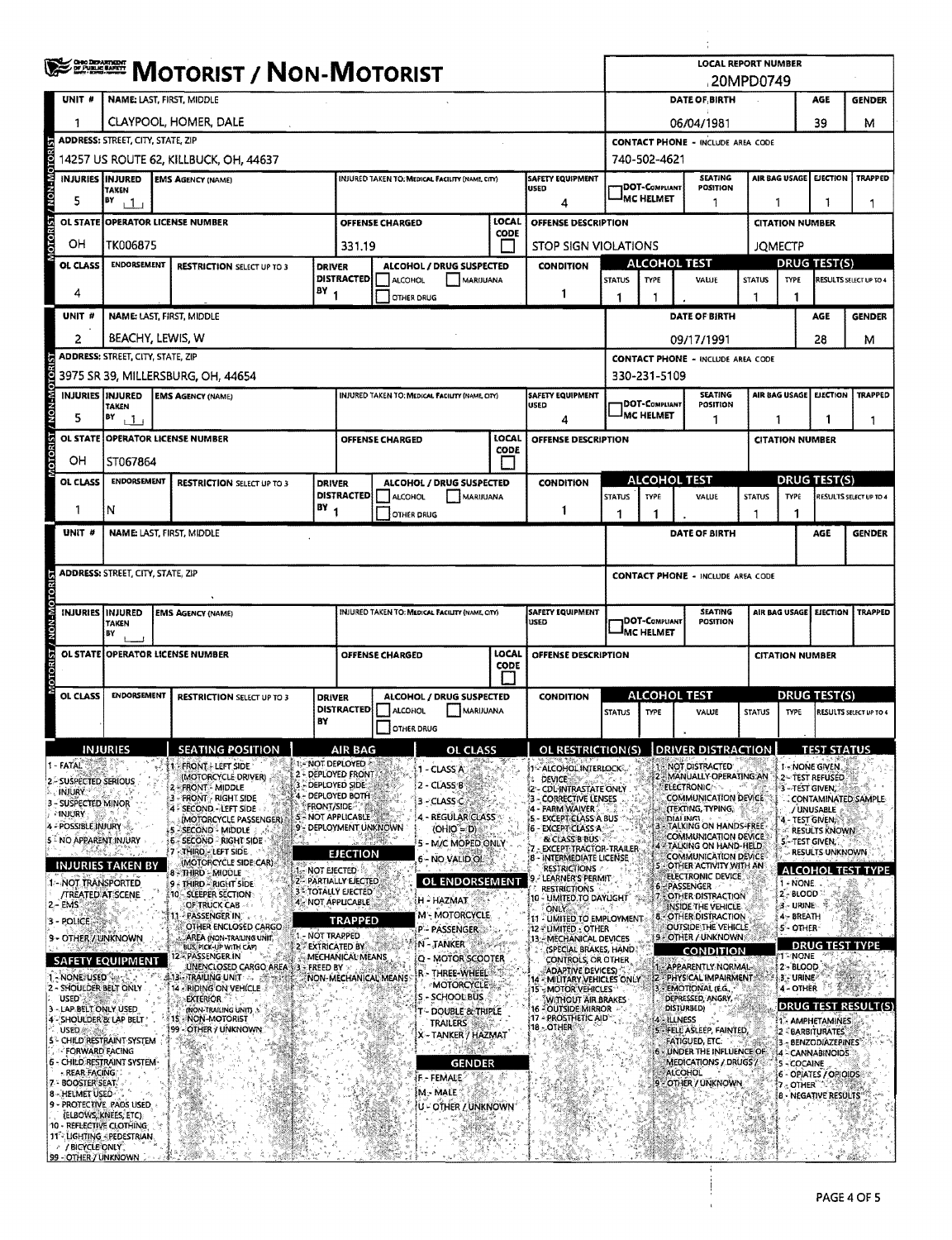|                     |                                                                  | <b>CHOO DEPARTMENT</b><br>Of Public Barry<br><b>MOTORIST / NON-MOTORIST</b>                                                |                                                                                |                                                                |                                                        |                                                              |                        |                |                                                       |       | <b>LOCAL REPORT NUMBER</b><br>.20MPD0749                     |                                                                               |                                                        |                                           |                         |                                                                          |               |                          |                                          |                |                          |  |
|---------------------|------------------------------------------------------------------|----------------------------------------------------------------------------------------------------------------------------|--------------------------------------------------------------------------------|----------------------------------------------------------------|--------------------------------------------------------|--------------------------------------------------------------|------------------------|----------------|-------------------------------------------------------|-------|--------------------------------------------------------------|-------------------------------------------------------------------------------|--------------------------------------------------------|-------------------------------------------|-------------------------|--------------------------------------------------------------------------|---------------|--------------------------|------------------------------------------|----------------|--------------------------|--|
|                     | UNIT #                                                           | NAME: LAST, FIRST, MIDDLE                                                                                                  |                                                                                |                                                                |                                                        |                                                              |                        |                |                                                       |       |                                                              | DATE OF BIRTH<br>AGE<br><b>GENDER</b>                                         |                                                        |                                           |                         |                                                                          |               |                          |                                          |                |                          |  |
|                     |                                                                  |                                                                                                                            |                                                                                |                                                                |                                                        |                                                              |                        |                |                                                       |       |                                                              |                                                                               |                                                        |                                           |                         |                                                                          |               |                          | 39                                       |                |                          |  |
|                     | 1                                                                | CLAYPOOL, HOMER, DALE<br><b>ADDRESS: STREET, CITY, STATE, ZIP</b>                                                          |                                                                                |                                                                |                                                        |                                                              |                        |                |                                                       |       |                                                              |                                                                               | 06/04/1981<br><b>CONTACT PHONE - INCLUDE AREA CODE</b> |                                           |                         |                                                                          |               |                          |                                          |                | м                        |  |
|                     |                                                                  | 14257 US ROUTE 62, KILLBUCK, OH, 44637                                                                                     |                                                                                |                                                                |                                                        |                                                              |                        |                |                                                       |       |                                                              |                                                                               |                                                        | 740-502-4621                              |                         |                                                                          |               |                          |                                          |                |                          |  |
|                     |                                                                  | INJURIES INJURED<br><b>SAFETY EQUIPMENT</b><br><b>EMS AGENCY (NAME)</b><br>INJURED TAKEN TO: MEDICAL FACILITY (NAME, CITY) |                                                                                |                                                                |                                                        |                                                              |                        |                |                                                       |       |                                                              |                                                                               |                                                        |                                           | <b>SEATING</b>          |                                                                          |               | AIR BAG USAGE EJECTION   |                                          | <b>TRAPPED</b> |                          |  |
| <b>NON-MOTORIST</b> | 5                                                                | <b>TAKEN</b><br>BY<br>111                                                                                                  |                                                                                |                                                                |                                                        |                                                              |                        |                |                                                       |       | <b>USED</b>                                                  | DOT-COMPLIANT<br>POSITION<br>MC HELMET<br>1                                   |                                                        |                                           |                         | 1<br>1                                                                   |               |                          |                                          | 1.             |                          |  |
|                     |                                                                  | OL STATE OPERATOR LICENSE NUMBER                                                                                           |                                                                                |                                                                |                                                        | <b>OFFENSE CHARGED</b>                                       |                        |                | LOCAL                                                 |       | OFFENSE DESCRIPTION                                          |                                                                               | <b>CITATION NUMBER</b>                                 |                                           |                         |                                                                          |               |                          |                                          |                |                          |  |
| <b>OTORIST</b>      | OH                                                               | TK006875                                                                                                                   |                                                                                |                                                                |                                                        | 331.19                                                       |                        |                |                                                       | CODE  |                                                              |                                                                               |                                                        |                                           |                         |                                                                          |               |                          |                                          |                |                          |  |
|                     | OL CLASS                                                         | <b>ENDORSEMENT</b>                                                                                                         |                                                                                |                                                                |                                                        | <b>DRIVER</b>                                                |                        |                | ALCOHOL / DRUG SUSPECTED                              |       |                                                              | <b>CONDITION</b>                                                              | <b>STOP SIGN VIOLATIONS</b><br><b>ALCOHOL TEST</b>     |                                           |                         |                                                                          |               |                          | <b>JOMECTP</b><br><b>DRUG TEST(S)</b>    |                |                          |  |
|                     |                                                                  |                                                                                                                            | <b>RESTRICTION SELECT UP TO 3</b><br><b>DISTRACTED</b>                         |                                                                |                                                        |                                                              |                        | <b>ALCOHOL</b> | MARIJUANA                                             |       |                                                              |                                                                               | <b>STATUS</b>                                          | TYPE                                      |                         | VALUE                                                                    | <b>STATUS</b> | <b>TYPE</b>              | RESULTS SELECT UP TO 4                   |                |                          |  |
|                     | 4                                                                |                                                                                                                            |                                                                                |                                                                |                                                        | BY <sub>1</sub>                                              |                        | OTHER DRUG     |                                                       |       |                                                              | 1                                                                             | 1                                                      | 1                                         |                         |                                                                          | 1             | 1                        |                                          |                |                          |  |
|                     | UNIT <sub>#</sub>                                                | NAME: LAST, FIRST, MIDDLE                                                                                                  |                                                                                |                                                                |                                                        |                                                              |                        |                |                                                       |       |                                                              |                                                                               |                                                        |                                           |                         | DATE OF BIRTH                                                            |               |                          | <b>AGE</b>                               |                | <b>GENDER</b>            |  |
|                     | 2                                                                | BEACHY, LEWIS, W                                                                                                           |                                                                                |                                                                |                                                        |                                                              |                        |                |                                                       |       |                                                              |                                                                               |                                                        |                                           |                         | 09/17/1991                                                               |               |                          | 28                                       |                | м                        |  |
| <b>DTORIS</b>       |                                                                  | <b>ADDRESS: STREET, CITY, STATE, ZIP</b>                                                                                   |                                                                                |                                                                |                                                        |                                                              |                        |                |                                                       |       |                                                              |                                                                               |                                                        |                                           |                         | <b>CONTACT PHONE - INCLUDE AREA CODE</b>                                 |               |                          |                                          |                |                          |  |
|                     | <b>INJURIES INJURED</b>                                          |                                                                                                                            |                                                                                | 3975 SR 39, MILLERSBURG, OH, 44654<br><b>EMS AGENCY (NAME)</b> |                                                        |                                                              |                        |                | <b>INJURED TAKEN TO: MEDICAL FACILITY (NAME CITY)</b> |       |                                                              | <b>SAFETY EQUIPMENT</b>                                                       |                                                        | 330-231-5109                              |                         | <b>SEATING</b>                                                           |               |                          | AIR BAG USAGE EJECTION<br><b>TRAPPED</b> |                |                          |  |
| <b>M-N-M</b>        | 5                                                                | <b>TAKEN</b><br>BY                                                                                                         |                                                                                |                                                                |                                                        |                                                              |                        |                |                                                       |       |                                                              | <b>USED</b>                                                                   |                                                        | <b>DOT-COMPLIANT</b><br><b>IMC HELMET</b> |                         | POSITION                                                                 |               |                          |                                          |                |                          |  |
|                     |                                                                  | $+1+$<br>OL STATE OPERATOR LICENSE NUMBER                                                                                  |                                                                                |                                                                |                                                        |                                                              | <b>OFFENSE CHARGED</b> |                |                                                       | LOCAL |                                                              | 4<br>OFFENSE DESCRIPTION                                                      |                                                        |                                           |                         | 1                                                                        |               | 1                        | 1<br><b>CITATION NUMBER</b>              |                |                          |  |
|                     |                                                                  |                                                                                                                            |                                                                                |                                                                |                                                        |                                                              |                        |                |                                                       | CODE  |                                                              |                                                                               |                                                        |                                           |                         |                                                                          |               |                          |                                          |                |                          |  |
|                     | он<br>OL CLASS                                                   |                                                                                                                            | ST067864<br><b>ENDORSEMENT</b><br>ALCOHOL / DRUG SUSPECTED<br><b>CONDITION</b> |                                                                |                                                        |                                                              |                        |                |                                                       |       |                                                              |                                                                               |                                                        | <b>ALCOHOL TEST</b>                       |                         |                                                                          |               |                          | <b>DRUG TEST(S)</b>                      |                |                          |  |
|                     |                                                                  |                                                                                                                            |                                                                                | <b>RESTRICTION SELECT UP TO 3</b>                              |                                                        | <b>DRIVER</b><br><b>DISTRACTED</b>                           |                        | ALCOHOL        | <b>MARIJUANA</b>                                      |       |                                                              |                                                                               | <b>STATUS</b>                                          | <b>TYPE</b>                               |                         | VALUE                                                                    | <b>STATUS</b> | <b>TYPE</b>              |                                          |                | RESULTS SELECT UP TO 4   |  |
|                     | 1                                                                | N                                                                                                                          |                                                                                |                                                                |                                                        | $BY_1$                                                       |                        | OTHER DRUG     |                                                       |       |                                                              | 1                                                                             | 1                                                      |                                           |                         |                                                                          |               | 1                        |                                          |                |                          |  |
|                     | UNIT #                                                           | <b>NAME: LAST, FIRST, MIDDLE</b>                                                                                           |                                                                                |                                                                |                                                        |                                                              |                        |                |                                                       |       |                                                              |                                                                               |                                                        |                                           |                         | DATE OF BIRTH                                                            |               |                          | AGE                                      |                | <b>GENDER</b>            |  |
|                     |                                                                  |                                                                                                                            |                                                                                |                                                                |                                                        |                                                              |                        |                |                                                       |       |                                                              |                                                                               |                                                        |                                           |                         |                                                                          |               |                          |                                          |                |                          |  |
|                     |                                                                  | <b>ADDRESS: STREET, CITY, STATE, ZIP</b>                                                                                   |                                                                                |                                                                |                                                        |                                                              |                        |                |                                                       |       |                                                              |                                                                               |                                                        |                                           |                         | <b>CONTACT PHONE - INCLUDE AREA CODE</b>                                 |               |                          |                                          |                |                          |  |
|                     | INJURIES INJURED                                                 |                                                                                                                            |                                                                                |                                                                |                                                        |                                                              |                        |                |                                                       |       | <b>SAFETY EQUIPMENT</b>                                      |                                                                               |                                                        |                                           | <b>SEATING</b>          |                                                                          |               | AIR BAG USAGE EJECTION   |                                          | <b>TRAPPED</b> |                          |  |
|                     |                                                                  | <b>TAKEN</b><br>BY                                                                                                         |                                                                                | <b>EMS AGENCY (NAME)</b>                                       |                                                        | INJURED TAKEN TO: MEDICAL FACILITY (NAME, CITY).<br>USED     |                        |                |                                                       |       | <b>DOT-COMPLIANT</b><br><b>POSITION</b><br><b>IMC HELMET</b> |                                                                               |                                                        |                                           |                         |                                                                          |               |                          |                                          |                |                          |  |
|                     |                                                                  | OL STATE OPERATOR LICENSE NUMBER                                                                                           |                                                                                |                                                                | LOCAL<br><b>OFFENSE CHARGED</b><br>OFFENSE DESCRIPTION |                                                              |                        |                |                                                       |       |                                                              |                                                                               |                                                        |                                           |                         | <b>CITATION NUMBER</b>                                                   |               |                          |                                          |                |                          |  |
|                     |                                                                  |                                                                                                                            |                                                                                |                                                                |                                                        | CODE                                                         |                        |                |                                                       |       |                                                              |                                                                               |                                                        |                                           |                         |                                                                          |               |                          |                                          |                |                          |  |
|                     | OL CLASS                                                         | <b>ENDORSEMENT</b>                                                                                                         |                                                                                | <b>RESTRICTION SELECT UP TO 3</b>                              |                                                        | ALCOHOL / DRUG SUSPECTED<br><b>DRIVER</b>                    |                        |                |                                                       |       | <b>CONDITION</b>                                             | <b>ALCOHOL TEST</b>                                                           |                                                        |                                           |                         | <b>DRUG TEST(S)</b>                                                      |               |                          |                                          |                |                          |  |
|                     |                                                                  |                                                                                                                            |                                                                                |                                                                | BY                                                     | <b>DISTRACTED</b><br>ALCOHOL<br>MARIJUANA                    |                        |                |                                                       |       |                                                              |                                                                               | <b>STATUS</b>                                          | TYPE                                      |                         | VALUE                                                                    | <b>STATUS</b> | <b>TYPE</b>              |                                          |                | RESULTS SELECT UP TO 4   |  |
|                     |                                                                  |                                                                                                                            |                                                                                |                                                                |                                                        |                                                              |                        | OTHER DRUG     |                                                       |       |                                                              |                                                                               |                                                        |                                           |                         |                                                                          |               |                          |                                          |                |                          |  |
|                     | 1 - FATAL                                                        | NJURIES                                                                                                                    |                                                                                | <b>SEATING POSITION</b><br>- FRONT + LEFT SIDE                 |                                                        | AIR BAG<br>1- NOT DEPLOYED                                   |                        |                | OL CLASS                                              |       |                                                              | OL RESTRICTION(S)                                                             |                                                        |                                           |                         | <b>DRIVER DISTRACTION</b><br><b>NOT DISTRACTED</b>                       |               |                          | 1 - NONE GIVEN                           |                |                          |  |
|                     | 2 - SUSPECTED SERIOUS                                            |                                                                                                                            |                                                                                | (MOTORCYCLE DRIVER)<br>- FRONT - MIDDLE                        |                                                        | 2 - DEPLOYED FRONT<br>DEPLOYED SIDE:                         |                        |                | 1 - CLASS A<br>2 - CLASS B                            |       |                                                              | 1 - ALCOHOL INTERLOCK<br><b>DEVICE</b>                                        |                                                        |                                           | <b>ELECTRONIC</b>       | MANUALLY OPERATING AN                                                    |               |                          | 2-TEST REFUSED<br>3-TEST GIVEN,          |                |                          |  |
|                     | <b>INJURY</b><br>3 - SUSPECTED MINOR                             |                                                                                                                            |                                                                                | - FRONT RIGHT SIDE<br>4 - SECOND - LEFT SIDE                   |                                                        | DEPLOYED BOTH<br><b>FRONT/SIDE</b>                           |                        |                | 3 - CLASS C                                           |       |                                                              | - CDL INTRASTATE ONLY<br><b>CORRECTIVE LENSES</b><br>- FARM WAIVER            |                                                        |                                           |                         | <b>COMMUNICATION DEVICE</b><br>(TEXTING, TYPING,                         |               |                          | CONTAMINATED SAMPLE<br>/ UNUSABLE        |                |                          |  |
|                     | <b>INJURY</b><br>4 - POSSIBLE INJURY                             |                                                                                                                            |                                                                                | (MOTORCYCLE PASSENGER)<br>- SECOND <sup>-3</sup> MIDDLE        |                                                        | <b>5 NOT APPLICABLE</b><br>9 - DEPLOYMENT UNKNOWN            |                        |                | 4 - REGULAR CLASS<br>(OHIO = D)                       |       |                                                              | 5 - EXCEPT CLASS A BUS<br>6 - EXCEPT CLASS A                                  |                                                        |                                           | DIALING!                | - TALKING ON HANDS-FREE                                                  |               |                          | 4 - TEST GIVEN<br>$\ll$ Results known.   |                |                          |  |
|                     | 5 - NO APPARENT INJURY                                           |                                                                                                                            |                                                                                | <b>6 - SECOND - RIGHT SIDE</b><br>- THIRD - LEFT SIDE          |                                                        |                                                              |                        |                | 5 - M/C MOPED ONLY                                    |       |                                                              | <b>&amp; CLASS B BUS</b><br>EXCEPT TRACTOR-TRAILER                            |                                                        |                                           |                         | COMMUNICATION DEVICE<br>4 - TALKING ON HAND-HELD                         |               |                          | S-TEST GIVEN,<br>RESULTS UNKNOWN         |                |                          |  |
|                     |                                                                  | <b>INJURIES TAKEN BY</b>                                                                                                   |                                                                                | (MOTORCYCLE SIDE CAR)<br>8 - THIRD - MIDDLE                    |                                                        | EJECTION<br>NOT EJECTED                                      |                        |                | 6 - NO VALID OI                                       |       |                                                              | 8 - INTERMEDIATE LICENSE<br><b>RESTRICTIONS</b>                               |                                                        |                                           |                         | <b>COMMUNICATION DEVICES</b><br>5 - OTHER ACTIVITY WITH AN               |               |                          |                                          |                | <b>ALCOHOL TEST TYPE</b> |  |
|                     | 1 - NOT TRANSPORTED<br><b><i>TREATED AT SCENE</i></b>            |                                                                                                                            |                                                                                | 9 - THIRD - RIGHT SIDE<br>10 - SLEEPER SECTION                 |                                                        | 2 - PARTIALLY EJECTED<br><b>3<sup>%</sup>TOTALLY EJECTED</b> |                        |                | <b>OL ENDORSEMENT</b>                                 |       |                                                              | LEARNER'S PERMIT<br><b>RESTRICTIONS</b>                                       |                                                        |                                           | 6-PASSENGER             | ELECTRONIC DEVICE                                                        |               | 1 - NONE.<br>2-BLOOD     |                                          |                |                          |  |
|                     | 2 - EMS                                                          |                                                                                                                            |                                                                                | OF TRUCK CAB-<br><b>PASSENGER IN:</b>                          |                                                        | 4 - NOT APPLICABLE                                           |                        |                | H - HAZMAT<br>M - MOTORCYCLE                          |       |                                                              | 10 - UMITED TO DAYUGHT<br><b>ONLY</b>                                         |                                                        | 7.                                        |                         | <b>OTHER DISTRACTION</b><br>INSIDE THE VEHICLE.<br>8 - OTHER DISTRACTION |               | g - URINE -<br>4- BREATH | 埂                                        |                |                          |  |
|                     | 3 - POLICE<br>9 - OTHER / UNKNOWN                                |                                                                                                                            |                                                                                | OTHER ENCLOSED CARGO<br>AREA (NON-TRAILING UNIT,               |                                                        | <b>TRAPPED</b><br>1 - NOT TRAPPED                            |                        |                | P - PASSENGER                                         |       |                                                              | 11 - LIMITED TO EMPLOYMENT<br>12 - LIMITED - OTHER<br>13 - MECHANICAL DEVICES |                                                        |                                           |                         | <b>OUTSIDE THE VEHICLE</b><br>9 - OTHER / UNKNOWN                        |               | 5 - OTHER                |                                          |                |                          |  |
|                     |                                                                  |                                                                                                                            |                                                                                | BUS, PICK-UP WITH CAP)<br>- PASSENGER IN                       |                                                        | 2 EXTRICATED BY<br>MECHANICAL MEANS                          |                        |                | N - TANKER<br>Q - MOTOR SCOOTER                       |       |                                                              | (SPECIAL BRAKES, HAND                                                         |                                                        |                                           |                         | <b>CONDITION</b>                                                         |               | '1°⊱NONE                 | <b>DRUG TEST TYPE</b>                    |                |                          |  |
|                     | SAFETY EQUIPMENT<br>1 - NONE USED                                |                                                                                                                            |                                                                                | UNENCLOSED CARGO AREA 33 FREED BY<br>13 TRAILING UNIT          |                                                        | NON-MECHANICAL MEANS                                         |                        |                | r - Three-Wheel                                       |       |                                                              | CONTROLS, OR OTHER<br>ADAPTIVE DEVICES.<br>14 - MILITARY VEHICLES ONLY        |                                                        |                                           |                         | 1 - APPARENTLY NORMAL-<br><b>22 PHYSICAL IMPAIRMENT</b>                  |               | 2-BLOOD<br>3 - URINE     |                                          |                |                          |  |
|                     | 2 - SHOULDER BELT ONLY<br><b>USED</b>                            |                                                                                                                            |                                                                                | 14 - RIDING ON VEHICLE<br><b>EXTERIOR</b>                      |                                                        |                                                              |                        |                | MOTORCYCLE<br>S - SCHOOL BUS                          |       |                                                              | 15", MOTOR VEHICLES<br><b>WITHOUT AIR BRAKES</b>                              |                                                        |                                           |                         | <b>EMOTIONAL (E.G.,</b><br>DEPRESSED, ANGRY,                             |               | 4 - OTHER                |                                          |                |                          |  |
|                     | LAP BELT ONLY USED<br>- SHOULDER & LAP BELT                      |                                                                                                                            | ' 15                                                                           | (NON-TRAILING UNIT)<br><b>NON-MOTORIST</b>                     |                                                        |                                                              |                        |                | - DOUBLE & TRIPLE<br><b>TRAILERS</b>                  |       |                                                              | 16 - OUTSIDE MIRROR<br>17 - PROSTHETIC AID                                    |                                                        |                                           | DISTURBED)<br>4 ILLNESS |                                                                          |               |                          | - AMPHETAMINES                           |                | DRUG TEST RESULT(S)      |  |
|                     | USED (m)<br>5 <sup>2</sup> CHILD RESTRAINT SYSTEM                |                                                                                                                            | 99                                                                             | - OTHER / UNKNOWN                                              |                                                        |                                                              |                        |                | X - TANKER / HAZMAT                                   |       |                                                              | 18 - OTHER                                                                    |                                                        |                                           |                         | 5 FELL ASLEEP, FAINTED,<br>FATIGUED, ETC.                                |               |                          | 2 - BARBITURATES<br>3- BENZODIAZEPINES   |                |                          |  |
|                     | <b>FORWARD FACING</b><br>6 - CHILD RESTRAINT SYSTEM-             |                                                                                                                            |                                                                                |                                                                |                                                        |                                                              |                        |                | <b>GENDER</b>                                         |       |                                                              |                                                                               |                                                        |                                           |                         | . UNDER THE INFLUENCE OF<br>MEDICATIONS / DRUGS /                        |               |                          | 4 - CANNABINOIDS<br><b>S-COCAINE</b>     |                |                          |  |
|                     | - REAR FACING<br>7 - BOOSTER SEAT.                               |                                                                                                                            |                                                                                |                                                                |                                                        |                                                              |                        |                | F - FEMALE                                            |       |                                                              |                                                                               |                                                        |                                           | <b>ALCOHOL</b>          | 9 - OTHER / UNKNOWN                                                      |               | 7 - OTHER"               | 6 - OPIATES / OPIOIDS                    |                |                          |  |
|                     | 8 - HELMET USED<br>9 - PROTECTIVE, PADS USED                     |                                                                                                                            |                                                                                |                                                                |                                                        |                                                              |                        |                | IM - MALE<br>IU - OTHER / UNKNOWN                     |       |                                                              |                                                                               |                                                        |                                           |                         |                                                                          |               |                          | <b>B - NEGATIVE RESULTS</b>              |                |                          |  |
|                     | (ELBOWS, KNEES, ETC)<br>10 - REFLECTIVE CLOTHING                 |                                                                                                                            |                                                                                |                                                                |                                                        |                                                              |                        |                |                                                       |       |                                                              |                                                                               |                                                        |                                           |                         |                                                                          |               |                          |                                          |                |                          |  |
|                     | 11 - LIGHTING <pedestrian.<br>A / BICYCLE ONLY.</pedestrian.<br> |                                                                                                                            |                                                                                |                                                                |                                                        |                                                              |                        |                |                                                       |       |                                                              |                                                                               |                                                        |                                           |                         |                                                                          |               |                          |                                          |                |                          |  |
|                     | 99 - OTHER / UNKNOWN                                             |                                                                                                                            |                                                                                |                                                                |                                                        |                                                              |                        |                |                                                       |       |                                                              |                                                                               |                                                        |                                           |                         |                                                                          |               |                          |                                          |                |                          |  |

 $\frac{1}{2}$